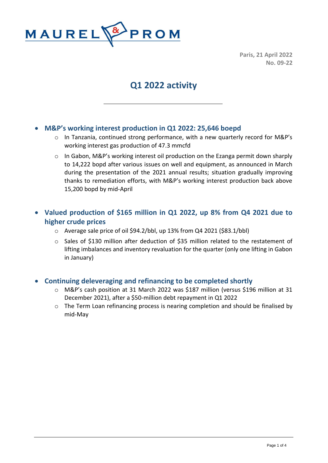

**Paris, 21 April 2022 No. 09-22**

# **Q1 2022 activity**

## • **M&P's working interest production in Q1 2022: 25,646 boepd**

- $\circ$  In Tanzania, continued strong performance, with a new quarterly record for M&P's working interest gas production of 47.3 mmcfd
- o In Gabon, M&P's working interest oil production on the Ezanga permit down sharply to 14,222 bopd after various issues on well and equipment, as announced in March during the presentation of the 2021 annual results; situation gradually improving thanks to remediation efforts, with M&P's working interest production back above 15,200 bopd by mid-April

# • **Valued production of \$165 million in Q1 2022, up 8% from Q4 2021 due to higher crude prices**

- o Average sale price of oil \$94.2/bbl, up 13% from Q4 2021 (\$83.1/bbl)
- o Sales of \$130 million after deduction of \$35 million related to the restatement of lifting imbalances and inventory revaluation for the quarter (only one lifting in Gabon in January)

### • **Continuing deleveraging and refinancing to be completed shortly**

- o M&P's cash position at 31 March 2022 was \$187 million (versus \$196 million at 31 December 2021), after a \$50-million debt repayment in Q1 2022
- o The Term Loan refinancing process is nearing completion and should be finalised by mid-May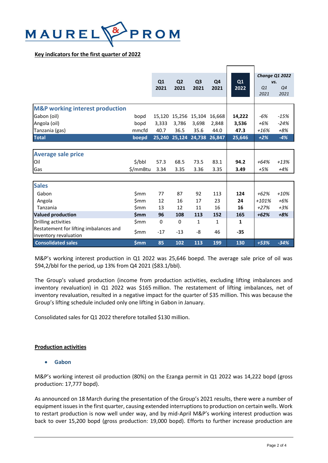

#### **Key indicators for the first quarter of 2022**

|                                                                 |            | Q1<br>2021  | Q <sub>2</sub><br>2021      | Q <sub>3</sub><br>2021 | Q4<br>2021   | Q1<br>2022 | vs.<br>Q1<br>2021 | Change Q1 2022<br>Q4<br>2021 |
|-----------------------------------------------------------------|------------|-------------|-----------------------------|------------------------|--------------|------------|-------------------|------------------------------|
|                                                                 |            |             |                             |                        |              |            |                   |                              |
| <b>M&amp;P working interest production</b>                      |            |             |                             |                        |              |            |                   |                              |
| Gabon (oil)                                                     | bopd       | 15,120      |                             | 15,256 15,104          | 16,668       | 14,222     | -6%               | $-15%$                       |
| Angola (oil)                                                    | bopd       | 3,333       | 3.786                       | 3.698                  | 2,848        | 3,536      | $+6%$             | $-24%$                       |
| Tanzania (gas)                                                  | mmcfd      | 40.7        | 36.5                        | 35.6                   | 44.0         | 47.3       | $+16%$            | $+8%$                        |
| <b>Total</b>                                                    | boepd      |             | 25,240 25,124 24,738 26,847 |                        |              | 25,646     | $+2%$             | $-4%$                        |
|                                                                 |            |             |                             |                        |              |            |                   |                              |
| <b>Average sale price</b>                                       |            |             |                             |                        |              |            |                   |                              |
| Oil                                                             | \$/bbI     | 57.3        | 68.5                        | 73.5                   | 83.1         | 94.2       | $+64%$            | $+13%$                       |
| Gas                                                             | \$/mmBtu   | 3.34        | 3.35                        | 3.36                   | 3.35         | 3.49       | $+5%$             | $+4%$                        |
|                                                                 |            |             |                             |                        |              |            |                   |                              |
| <b>Sales</b>                                                    |            |             |                             |                        |              |            |                   |                              |
| Gabon                                                           | \$mm       | 77          | 87                          | 92                     | 113          | 124        | $+62%$            | $+10%$                       |
| Angola                                                          | \$mm       | 12          | 16                          | 17                     | 23           | 24         | $+101%$           | $+6%$                        |
| Tanzania                                                        | \$mm       | 13          | 12                          | 11                     | 16           | 16         | $+27%$            | $+3%$                        |
| <b>Valued production</b>                                        | <b>Smm</b> | 96          | 108                         | 113                    | 152          | 165        | $+62%$            | $+8%$                        |
| Drilling activities                                             | \$mm       | $\mathbf 0$ | $\Omega$                    | $\mathbf{1}$           | $\mathbf{1}$ | 1          |                   |                              |
| Restatement for lifting imbalances and<br>inventory revaluation | \$mm       | $-17$       | $-13$                       | -8                     | 46           | $-35$      |                   |                              |
| <b>Consolidated sales</b>                                       | \$mm       | 85          | 102                         | 113                    | 199          | 130        | +53%              | $-34%$                       |

M&P's working interest production in Q1 2022 was 25,646 boepd. The average sale price of oil was \$94,2/bbl for the period, up 13% from Q4 2021 (\$83.1/bbl).

The Group's valued production (income from production activities, excluding lifting imbalances and inventory revaluation) in Q1 2022 was \$165 million. The restatement of lifting imbalances, net of inventory revaluation, resulted in a negative impact for the quarter of \$35 million. This was because the Group's lifting schedule included only one lifting in Gabon in January.

Consolidated sales for Q1 2022 therefore totalled \$130 million.

#### **Production activities**

#### • **Gabon**

M&P's working interest oil production (80%) on the Ezanga permit in Q1 2022 was 14,222 bopd (gross production: 17,777 bopd).

As announced on 18 March during the presentation of the Group's 2021 results, there were a number of equipment issuesin the first quarter, causing extended interruptions to production on certain wells. Work to restart production is now well under way, and by mid-April M&P's working interest production was back to over 15,200 bopd (gross production: 19,000 bopd). Efforts to further increase production are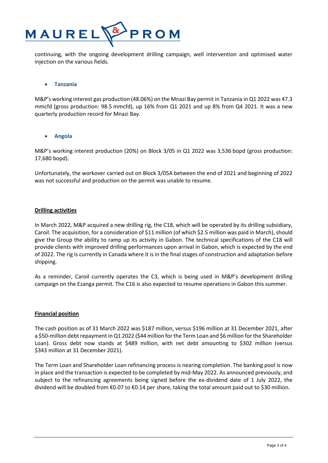

continuing, with the ongoing development drilling campaign, well intervention and optimised water injection on the various fields.

#### • **Tanzania**

M&P's working interest gas production (48.06%) on the Mnazi Bay permit in Tanzania in Q1 2022 was 47.3 mmcfd (gross production: 98.5 mmcfd), up 16% from Q1 2021 and up 8% from Q4 2021. It was a new quarterly production record for Mnazi Bay.

#### • **Angola**

M&P's working interest production (20%) on Block 3/05 in Q1 2022 was 3,536 bopd (gross production: 17,680 bopd).

Unfortunately, the workover carried out on Block 3/05A between the end of 2021 and beginning of 2022 was not successful and production on the permit was unable to resume.

#### **Drilling activities**

In March 2022, M&P acquired a new drilling rig, the C18, which will be operated by its drilling subsidiary, Caroil. The acquisition, for a consideration of \$11 million (of which \$2.5 million was paid in March), should give the Group the ability to ramp up its activity in Gabon. The technical specifications of the C18 will provide clients with improved drilling performances upon arrival in Gabon, which is expected by the end of 2022. The rig is currently in Canada where it is in the final stages of construction and adaptation before shipping.

As a reminder, Caroil currently operates the C3, which is being used in M&P's development drilling campaign on the Ezanga permit. The C16 is also expected to resume operations in Gabon this summer.

#### **Financial position**

The cash position as of 31 March 2022 was \$187 million, versus \$196 million at 31 December 2021, after a \$50-million debt repayment in Q1 2022 (\$44 million for the Term Loan and \$6 million for the Shareholder Loan). Gross debt now stands at \$489 million, with net debt amounting to \$302 million (versus \$343 million at 31 December 2021).

The Term Loan and Shareholder Loan refinancing process is nearing completion. The banking pool is now in place and the transaction is expected to be completed by mid-May 2022. As announced previously, and subject to the refinancing agreements being signed before the ex-dividend date of 1 July 2022, the dividend will be doubled from €0.07 to €0.14 per share, taking the total amount paid out to \$30 million.